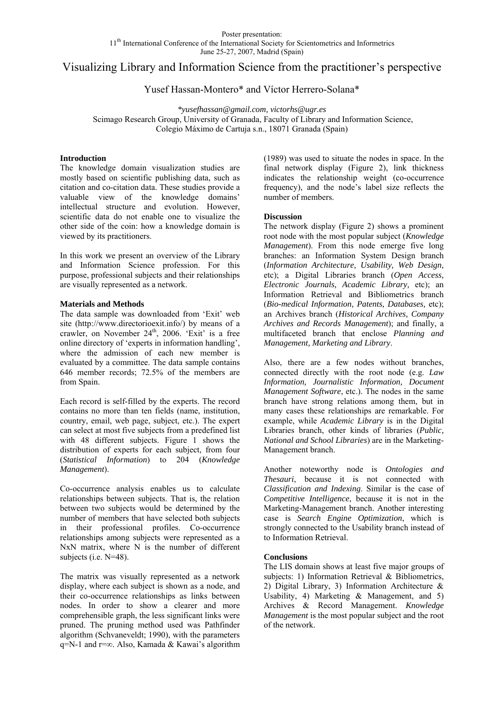# Visualizing Library and Information Science from the practitioner's perspective

## Yusef Hassan-Montero\* and Víctor Herrero-Solana\*

*\*yusefhassan@gmail.com, victorhs@ugr.es*  Scimago Research Group, University of Granada, Faculty of Library and Information Science, Colegio Máximo de Cartuja s.n., 18071 Granada (Spain)

### **Introduction**

The knowledge domain visualization studies are mostly based on scientific publishing data, such as citation and co-citation data. These studies provide a valuable view of the knowledge domains' intellectual structure and evolution. However, scientific data do not enable one to visualize the other side of the coin: how a knowledge domain is viewed by its practitioners.

In this work we present an overview of the Library and Information Science profession. For this purpose, professional subjects and their relationships are visually represented as a network.

#### **Materials and Methods**

The data sample was downloaded from 'Exit' web site (http://www.directorioexit.info/) by means of a crawler, on November 24<sup>th</sup>, 2006. 'Exit' is a free online directory of 'experts in information handling', where the admission of each new member is evaluated by a committee. The data sample contains 646 member records; 72.5% of the members are from Spain.

Each record is self-filled by the experts. The record contains no more than ten fields (name, institution, country, email, web page, subject, etc.). The expert can select at most five subjects from a predefined list with 48 different subjects. Figure 1 shows the distribution of experts for each subject, from four (*Statistical Information*) to 204 (*Knowledge Management*).

Co-occurrence analysis enables us to calculate relationships between subjects. That is, the relation between two subjects would be determined by the number of members that have selected both subjects in their professional profiles. Co-occurrence relationships among subjects were represented as a NxN matrix, where N is the number of different subjects (i.e. N=48).

The matrix was visually represented as a network display, where each subject is shown as a node, and their co-occurrence relationships as links between nodes. In order to show a clearer and more comprehensible graph, the less significant links were pruned. The pruning method used was Pathfinder algorithm (Schvaneveldt; 1990), with the parameters q=N-1 and r=∞. Also, Kamada & Kawai's algorithm (1989) was used to situate the nodes in space. In the final network display (Figure 2), link thickness indicates the relationship weight (co-occurrence frequency), and the node's label size reflects the number of members.

#### **Discussion**

The network display (Figure 2) shows a prominent root node with the most popular subject (*Knowledge Management*). From this node emerge five long branches: an Information System Design branch (*Information Architecture, Usability, Web Design,*  etc); a Digital Libraries branch (*Open Access, Electronic Journals, Academic Library,* etc); an Information Retrieval and Bibliometrics branch (*Bio-medical Information, Patents, Databases,* etc); an Archives branch (*Historical Archives, Company Archives and Records Management*); and finally, a multifaceted branch that enclose *Planning and Management, Marketing and Library*.

Also, there are a few nodes without branches, connected directly with the root node (e.g. *Law Information, Journalistic Information, Document Management Software*, etc.). The nodes in the same branch have strong relations among them, but in many cases these relationships are remarkable. For example, while *Academic Library* is in the Digital Libraries branch, other kinds of libraries (*Public, National and School Libraries*) are in the Marketing-Management branch.

Another noteworthy node is *Ontologies and Thesauri*, because it is not connected with *Classification and Indexing*. Similar is the case of *Competitive Intelligence*, because it is not in the Marketing-Management branch. Another interesting case is *Search Engine Optimization*, which is strongly connected to the Usability branch instead of to Information Retrieval.

#### **Conclusions**

The LIS domain shows at least five major groups of subjects: 1) Information Retrieval & Bibliometrics, 2) Digital Library, 3) Information Architecture & Usability, 4) Marketing & Management, and 5) Archives & Record Management. *Knowledge Management* is the most popular subject and the root of the network.